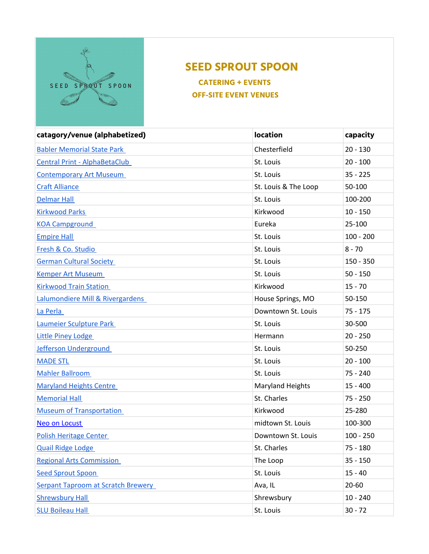

## **SEED SPROUT SPOON**

 **CATERING + EVENTS OFF-SITE EVENT VENUES** 

| catagory/venue (alphabetized)             | <b>location</b>         | capacity    |
|-------------------------------------------|-------------------------|-------------|
| <b>Babler Memorial State Park</b>         | Chesterfield            | $20 - 130$  |
| <b>Central Print - AlphaBetaClub</b>      | St. Louis               | $20 - 100$  |
| <b>Contemporary Art Museum</b>            | St. Louis               | $35 - 225$  |
| <b>Craft Alliance</b>                     | St. Louis & The Loop    | 50-100      |
| <b>Delmar Hall</b>                        | St. Louis               | 100-200     |
| <b>Kirkwood Parks</b>                     | Kirkwood                | $10 - 150$  |
| <b>KOA Campground</b>                     | Eureka                  | 25-100      |
| <b>Empire Hall</b>                        | St. Louis               | $100 - 200$ |
| Fresh & Co. Studio                        | St. Louis               | $8 - 70$    |
| <b>German Cultural Society</b>            | St. Louis               | $150 - 350$ |
| <b>Kemper Art Museum</b>                  | St. Louis               | $50 - 150$  |
| <b>Kirkwood Train Station</b>             | Kirkwood                | $15 - 70$   |
| Lalumondiere Mill & Rivergardens          | House Springs, MO       | 50-150      |
| La Perla                                  | Downtown St. Louis      | $75 - 175$  |
| Laumeier Sculpture Park                   | St. Louis               | 30-500      |
| <b>Little Piney Lodge</b>                 | Hermann                 | $20 - 250$  |
| Jefferson Underground                     | St. Louis               | 50-250      |
| <b>MADE STL</b>                           | St. Louis               | $20 - 100$  |
| <b>Mahler Ballroom</b>                    | St. Louis               | 75 - 240    |
| <b>Maryland Heights Centre</b>            | <b>Maryland Heights</b> | $15 - 400$  |
| <b>Memorial Hall</b>                      | St. Charles             | $75 - 250$  |
| <b>Museum of Transportation</b>           | Kirkwood                | 25-280      |
| <b>Neo on Locust</b>                      | midtown St. Louis       | 100-300     |
| <b>Polish Heritage Center</b>             | Downtown St. Louis      | $100 - 250$ |
| <b>Quail Ridge Lodge</b>                  | St. Charles             | 75 - 180    |
| <b>Regional Arts Commission</b>           | The Loop                | $35 - 150$  |
| <b>Seed Sprout Spoon</b>                  | St. Louis               | $15 - 40$   |
| <b>Serpant Taproom at Scratch Brewery</b> | Ava, IL                 | $20 - 60$   |
| <b>Shrewsbury Hall</b>                    | Shrewsbury              | $10 - 240$  |
| <b>SLU Boileau Hall</b>                   | St. Louis               | $30 - 72$   |